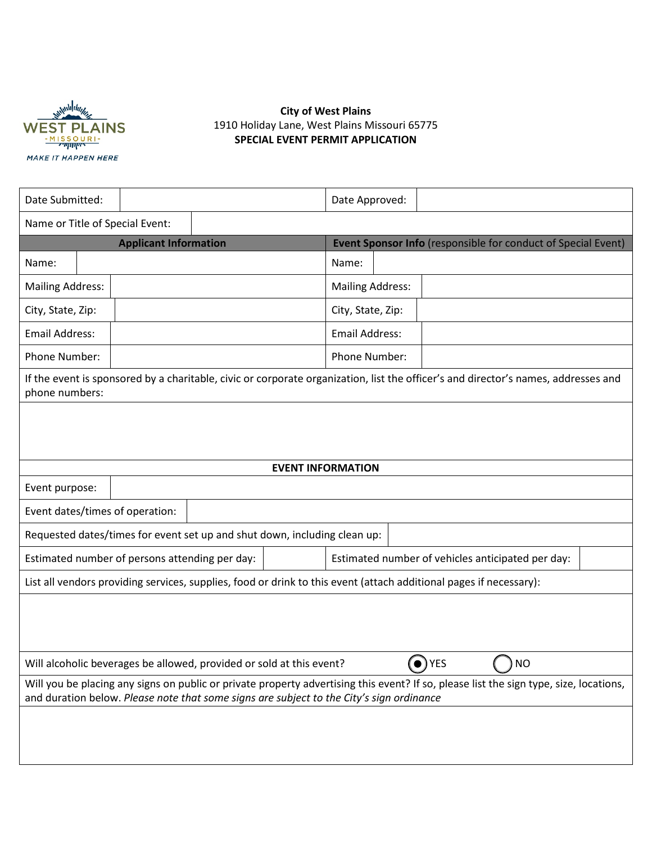

# **City of West Plains** 1910 Holiday Lane, West Plains Missouri 65775 **SPECIAL EVENT PERMIT APPLICATION**

| Date Submitted:                                                                                                                                                                                                                    |               |                              | Date Approved:          |               |                                                   |  |  |                                                               |  |  |
|------------------------------------------------------------------------------------------------------------------------------------------------------------------------------------------------------------------------------------|---------------|------------------------------|-------------------------|---------------|---------------------------------------------------|--|--|---------------------------------------------------------------|--|--|
| Name or Title of Special Event:                                                                                                                                                                                                    |               |                              |                         |               |                                                   |  |  |                                                               |  |  |
|                                                                                                                                                                                                                                    |               | <b>Applicant Information</b> |                         |               |                                                   |  |  | Event Sponsor Info (responsible for conduct of Special Event) |  |  |
| Name:                                                                                                                                                                                                                              |               |                              |                         |               | Name:                                             |  |  |                                                               |  |  |
| <b>Mailing Address:</b>                                                                                                                                                                                                            |               |                              | <b>Mailing Address:</b> |               |                                                   |  |  |                                                               |  |  |
| City, State, Zip:                                                                                                                                                                                                                  |               |                              | City, State, Zip:       |               |                                                   |  |  |                                                               |  |  |
| <b>Email Address:</b>                                                                                                                                                                                                              |               |                              | <b>Email Address:</b>   |               |                                                   |  |  |                                                               |  |  |
|                                                                                                                                                                                                                                    | Phone Number: |                              |                         | Phone Number: |                                                   |  |  |                                                               |  |  |
| If the event is sponsored by a charitable, civic or corporate organization, list the officer's and director's names, addresses and<br>phone numbers:                                                                               |               |                              |                         |               |                                                   |  |  |                                                               |  |  |
| <b>EVENT INFORMATION</b>                                                                                                                                                                                                           |               |                              |                         |               |                                                   |  |  |                                                               |  |  |
|                                                                                                                                                                                                                                    |               |                              |                         |               |                                                   |  |  |                                                               |  |  |
| Event purpose:                                                                                                                                                                                                                     |               |                              |                         |               |                                                   |  |  |                                                               |  |  |
| Event dates/times of operation:                                                                                                                                                                                                    |               |                              |                         |               |                                                   |  |  |                                                               |  |  |
| Requested dates/times for event set up and shut down, including clean up:                                                                                                                                                          |               |                              |                         |               |                                                   |  |  |                                                               |  |  |
| Estimated number of persons attending per day:                                                                                                                                                                                     |               |                              |                         |               | Estimated number of vehicles anticipated per day: |  |  |                                                               |  |  |
| List all vendors providing services, supplies, food or drink to this event (attach additional pages if necessary):                                                                                                                 |               |                              |                         |               |                                                   |  |  |                                                               |  |  |
|                                                                                                                                                                                                                                    |               |                              |                         |               |                                                   |  |  |                                                               |  |  |
| $\bullet$ ) YES<br>Will alcoholic beverages be allowed, provided or sold at this event?<br><b>NO</b>                                                                                                                               |               |                              |                         |               |                                                   |  |  |                                                               |  |  |
| Will you be placing any signs on public or private property advertising this event? If so, please list the sign type, size, locations,<br>and duration below. Please note that some signs are subject to the City's sign ordinance |               |                              |                         |               |                                                   |  |  |                                                               |  |  |
|                                                                                                                                                                                                                                    |               |                              |                         |               |                                                   |  |  |                                                               |  |  |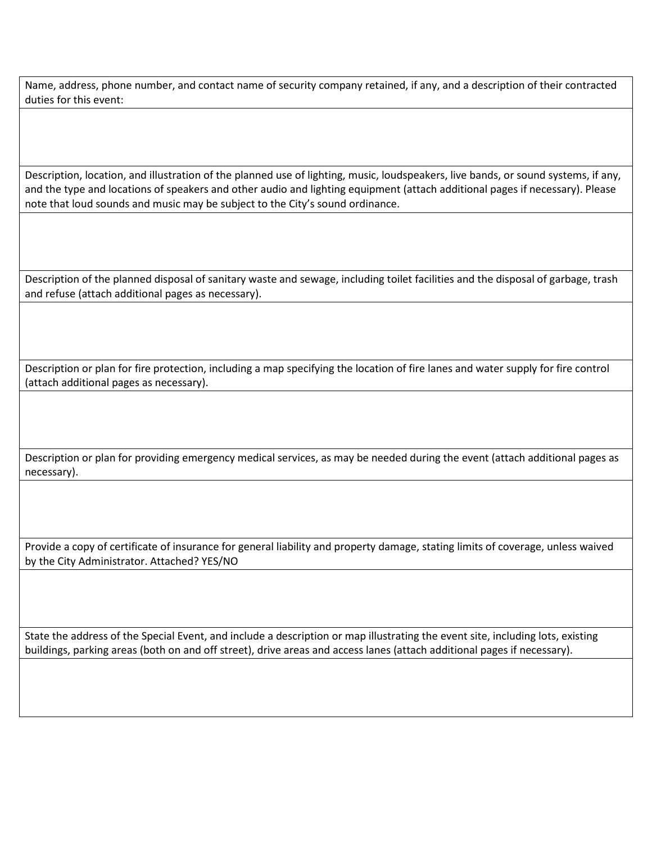Name, address, phone number, and contact name of security company retained, if any, and a description of their contracted duties for this event:

Description, location, and illustration of the planned use of lighting, music, loudspeakers, live bands, or sound systems, if any, and the type and locations of speakers and other audio and lighting equipment (attach additional pages if necessary). Please note that loud sounds and music may be subject to the City's sound ordinance.

Description of the planned disposal of sanitary waste and sewage, including toilet facilities and the disposal of garbage, trash and refuse (attach additional pages as necessary).

Description or plan for fire protection, including a map specifying the location of fire lanes and water supply for fire control (attach additional pages as necessary).

Description or plan for providing emergency medical services, as may be needed during the event (attach additional pages as necessary).

Provide a copy of certificate of insurance for general liability and property damage, stating limits of coverage, unless waived by the City Administrator. Attached? YES/NO

State the address of the Special Event, and include a description or map illustrating the event site, including lots, existing buildings, parking areas (both on and off street), drive areas and access lanes (attach additional pages if necessary).